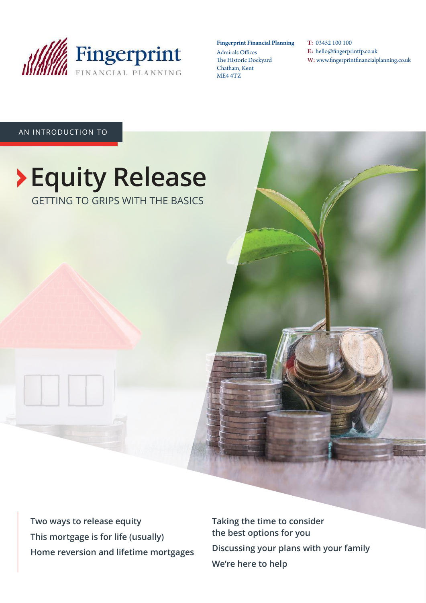

### Fingerprint Financial Planning

Admirals Offices The Historic Dockyard Chatham, Kent ME4 4TZ

T: 03452 100 100 E: hello@fingerprintfp.co.uk W: www.fingerprintfinancialplanning.co.uk

### AN INTRODUCTION TO

### **Equity Release**  GETTING TO GRIPS WITH THE BASICS

**Two ways to release equity This mortgage is for life (usually) Home reversion and lifetime mortgages** **Taking the time to consider the best options for you Discussing your plans with your family We're here to help**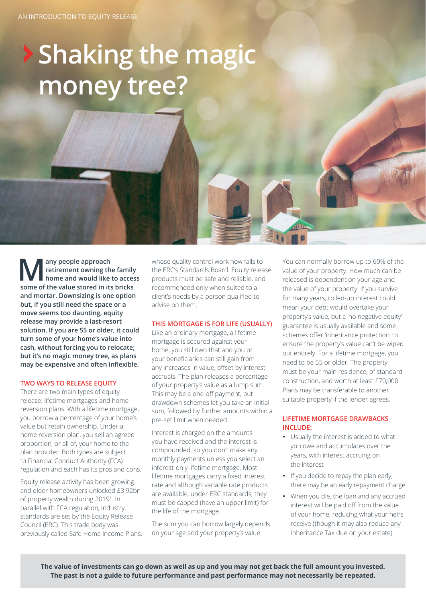## **Shaking the magic money tree?**

**M** any people approach<br>
retirement owning the family<br>
home and would like to acces<br>
some of the value stored in its bricks **any people approach retirement owning the family home and would like to access and mortar. Downsizing is one option but, if you still need the space or a move seems too daunting, equity release may provide a last-resort solution. If you are 55 or older, it could turn some of your home's value into cash, without forcing you to relocate; but it's no magic money tree, as plans may be expensive and often inflexible.** 

### **TWO WAYS TO RELEASE EQUITY**

There are two main types of equity release: lifetime mortgages and home reversion plans. With a lifetime mortgage, you borrow a percentage of your home's value but retain ownership. Under a home reversion plan, you sell an agreed proportion, or all of, your home to the plan provider. Both types are subject to Financial Conduct Authority (FCA) regulation and each has its pros and cons.

Equity release activity has been growing and older homeowners unlocked £3.92bn of property wealth during 2019<sup>1</sup>. In parallel with FCA regulation, industry standards are set by the Equity Release Council (ERC). This trade body was previously called Safe Home Income Plans, whose quality control work now falls to the ERC's Standards Board. Equity release products must be safe and reliable, and recommended only when suited to a client's needs by a person qualified to advise on them.

### **THIS MORTGAGE IS FOR LIFE (USUALLY)**

Like an ordinary mortgage, a lifetime mortgage is secured against your home; you still own that and you or your beneficiaries can still gain from any increases in value, offset by interest accruals. The plan releases a percentage of your property's value as a lump sum. This may be a one-off payment, but drawdown schemes let you take an initial sum, followed by further amounts within a pre-set limit when needed.

Interest is charged on the amounts you have received and the interest is compounded, so you don't make any monthly payments unless you select an interest-only lifetime mortgage. Most lifetime mortgages carry a fixed interest rate and although variable rate products are available, under ERC standards, they must be capped (have an upper limit) for the life of the mortgage.

The sum you can borrow largely depends on your age and your property's value.

You can normally borrow up to 60% of the value of your property. How much can be released is dependent on your age and the value of your property. If you survive for many years, rolled-up interest could mean your debt would overtake your property's value, but a 'no negative equity' guarantee is usually available and some schemes offer 'inheritance protection' to ensure the property's value can't be wiped out entirely. For a lifetime mortgage, you need to be 55 or older. The property must be your main residence, of standard construction, and worth at least £70,000. Plans may be transferable to another suitable property if the lender agrees.

### **LIFETIME MORTGAGE DRAWBACKS INCLUDE:**

- Usually the interest is added to what you owe and accumulates over the years, with interest accruing on the interest
- If you decide to repay the plan early, there may be an early repayment charge
- When you die, the loan and any accrued interest will be paid off from the value of your home, reducing what your heirs receive (though it may also reduce any Inheritance Tax due on your estate).

**The value of investments can go down as well as up and you may not get back the full amount you invested. The past is not a guide to future performance and past performance may not necessarily be repeated.**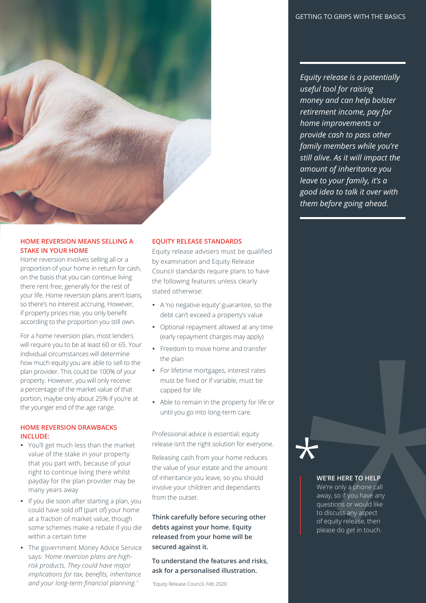*Equity release is a potentially useful tool for raising money and can help bolster retirement income, pay for home improvements or provide cash to pass other family members while you're still alive. As it will impact the amount of inheritance you leave to your family, it's a good idea to talk it over with them before going ahead.*

### **HOME REVERSION MEANS SELLING A STAKE IN YOUR HOME**

Home reversion involves selling all or a proportion of your home in return for cash, on the basis that you can continue living there rent-free, generally for the rest of your life. Home reversion plans aren't loans, so there's no interest accruing. However, if property prices rise, you only benefit according to the proportion you still own.

For a home reversion plan, most lenders will require you to be at least 60 or 65. Your individual circumstances will determine how much equity you are able to sell to the plan provider. This could be 100% of your property. However, you will only receive a percentage of the market value of that portion, maybe only about 25% if you're at the younger end of the age range.

### **HOME REVERSION DRAWBACKS INCLUDE:**

- You'll get much less than the market value of the stake in your property that you part with, because of your right to continue living there whilst payday for the plan provider may be many years away
- If you die soon after starting a plan, you could have sold off (part of) your home at a fraction of market value, though some schemes make a rebate if you die within a certain time
- The government Money Advice Service says: *'Home reversion plans are highrisk products. They could have major implications for tax, benefits, inheritance and your long-term financial planning.'*

### **EQUITY RELEASE STANDARDS**

Equity release advisers must be qualified by examination and Equity Release Council standards require plans to have the following features unless clearly stated otherwise:

- A 'no negative equity' guarantee, so the debt can't exceed a property's value
- Optional repayment allowed at any time (early repayment charges may apply)
- Freedom to move home and transfer the plan
- For lifetime mortgages, interest rates must be fixed or if variable, must be capped for life
- Able to remain in the property for life or until you go into long-term care.

Professional advice is essential; equity release isn't the right solution for everyone.

Releasing cash from your home reduces the value of your estate and the amount of inheritance you leave, so you should involve your children and dependants from the outset.

**Think carefully before securing other debts against your home. Equity released from your home will be secured against it.**

**To understand the features and risks, ask for a personalised illustration.**

<sup>1</sup>Equity Release Council, Feb 2020

### **WE'RE HERE TO HELP**

We're only a phone call away, so if you have any questions or would like to discuss any aspect of equity release, then please do get in touch.